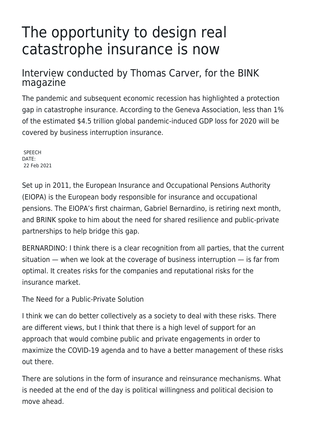## The opportunity to design real catastrophe insurance is now

## Interview conducted by Thomas Carver, for the BINK magazine

The pandemic and subsequent economic recession has highlighted a protection gap in catastrophe insurance. According to the Geneva Association, less than 1% of the estimated \$4.5 trillion global pandemic-induced GDP loss for 2020 will be covered by business interruption insurance.

**SPEECH** DATE: 22 Feb 2021

Set up in 2011, the European Insurance and Occupational Pensions Authority (EIOPA) is the European body responsible for insurance and occupational pensions. The EIOPA's first chairman, Gabriel Bernardino, is retiring next month, and BRINK spoke to him about the need for shared resilience and public-private partnerships to help bridge this gap.

BERNARDINO: I think there is a clear recognition from all parties, that the current situation — when we look at the coverage of business interruption — is far from optimal. It creates risks for the companies and reputational risks for the insurance market.

The Need for a Public-Private Solution

I think we can do better collectively as a society to deal with these risks. There are different views, but I think that there is a high level of support for an approach that would combine public and private engagements in order to maximize the COVID-19 agenda and to have a better management of these risks out there.

There are solutions in the form of insurance and reinsurance mechanisms. What is needed at the end of the day is political willingness and political decision to move ahead.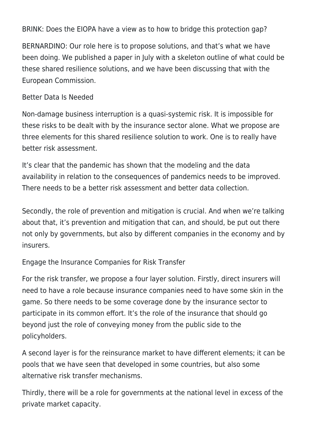BRINK: Does the EIOPA have a view as to how to bridge this protection gap?

BERNARDINO: Our role here is to propose solutions, and that's what we have been doing. We published a paper in July with a skeleton outline of what could be these shared resilience solutions, and we have been discussing that with the European Commission.

Better Data Is Needed

Non-damage business interruption is a quasi-systemic risk. It is impossible for these risks to be dealt with by the insurance sector alone. What we propose are three elements for this shared resilience solution to work. One is to really have better risk assessment.

It's clear that the pandemic has shown that the modeling and the data availability in relation to the consequences of pandemics needs to be improved. There needs to be a better risk assessment and better data collection.

Secondly, the role of prevention and mitigation is crucial. And when we're talking about that, it's prevention and mitigation that can, and should, be put out there not only by governments, but also by different companies in the economy and by insurers.

Engage the Insurance Companies for Risk Transfer

For the risk transfer, we propose a four layer solution. Firstly, direct insurers will need to have a role because insurance companies need to have some skin in the game. So there needs to be some coverage done by the insurance sector to participate in its common effort. It's the role of the insurance that should go beyond just the role of conveying money from the public side to the policyholders.

A second layer is for the reinsurance market to have different elements; it can be pools that we have seen that developed in some countries, but also some alternative risk transfer mechanisms.

Thirdly, there will be a role for governments at the national level in excess of the private market capacity.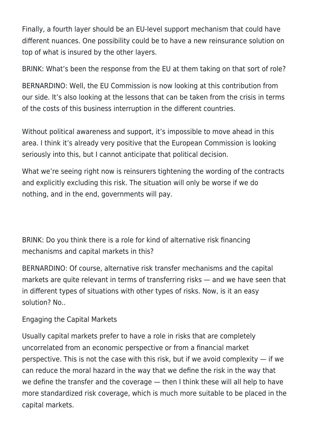Finally, a fourth layer should be an EU-level support mechanism that could have different nuances. One possibility could be to have a new reinsurance solution on top of what is insured by the other layers.

BRINK: What's been the response from the EU at them taking on that sort of role?

BERNARDINO: Well, the EU Commission is now looking at this contribution from our side. It's also looking at the lessons that can be taken from the crisis in terms of the costs of this business interruption in the different countries.

Without political awareness and support, it's impossible to move ahead in this area. I think it's already very positive that the European Commission is looking seriously into this, but I cannot anticipate that political decision.

What we're seeing right now is reinsurers tightening the wording of the contracts and explicitly excluding this risk. The situation will only be worse if we do nothing, and in the end, governments will pay.

BRINK: Do you think there is a role for kind of alternative risk financing mechanisms and capital markets in this?

BERNARDINO: Of course, alternative risk transfer mechanisms and the capital markets are quite relevant in terms of transferring risks — and we have seen that in different types of situations with other types of risks. Now, is it an easy solution? No..

Engaging the Capital Markets

Usually capital markets prefer to have a role in risks that are completely uncorrelated from an economic perspective or from a financial market perspective. This is not the case with this risk, but if we avoid complexity  $-$  if we can reduce the moral hazard in the way that we define the risk in the way that we define the transfer and the coverage — then I think these will all help to have more standardized risk coverage, which is much more suitable to be placed in the capital markets.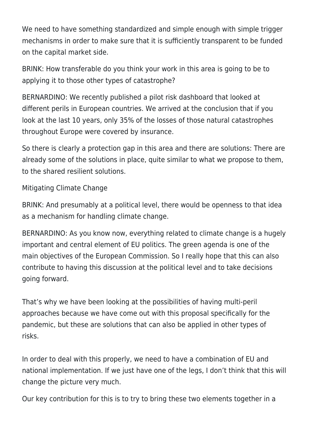We need to have something standardized and simple enough with simple trigger mechanisms in order to make sure that it is sufficiently transparent to be funded on the capital market side.

BRINK: How transferable do you think your work in this area is going to be to applying it to those other types of catastrophe?

BERNARDINO: We recently published a pilot risk dashboard that looked at different perils in European countries. We arrived at the conclusion that if you look at the last 10 years, only 35% of the losses of those natural catastrophes throughout Europe were covered by insurance.

So there is clearly a protection gap in this area and there are solutions: There are already some of the solutions in place, quite similar to what we propose to them, to the shared resilient solutions.

Mitigating Climate Change

BRINK: And presumably at a political level, there would be openness to that idea as a mechanism for handling climate change.

BERNARDINO: As you know now, everything related to climate change is a hugely important and central element of EU politics. The green agenda is one of the main objectives of the European Commission. So I really hope that this can also contribute to having this discussion at the political level and to take decisions going forward.

That's why we have been looking at the possibilities of having multi-peril approaches because we have come out with this proposal specifically for the pandemic, but these are solutions that can also be applied in other types of risks.

In order to deal with this properly, we need to have a combination of EU and national implementation. If we just have one of the legs, I don't think that this will change the picture very much.

Our key contribution for this is to try to bring these two elements together in a